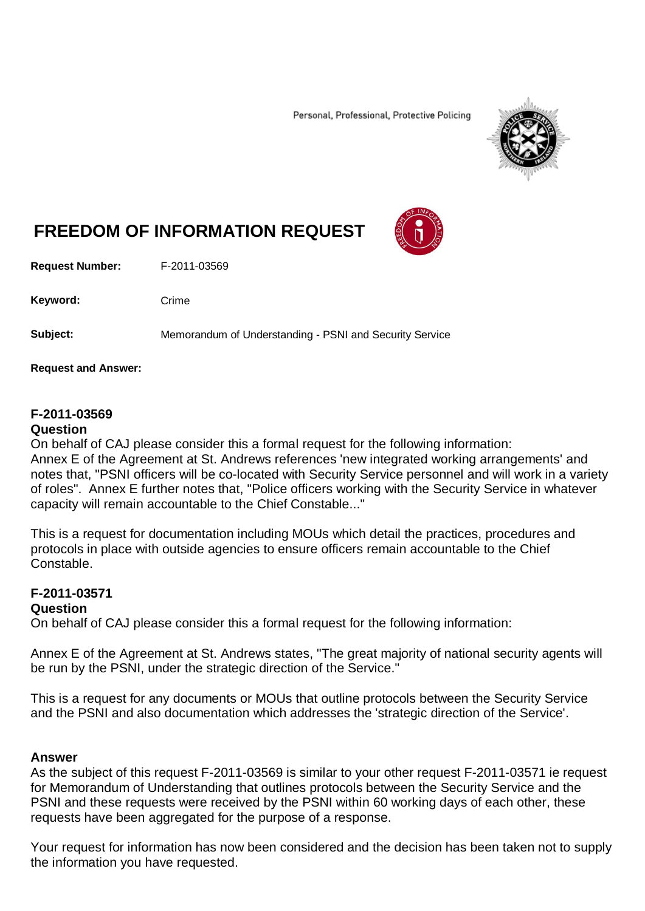Personal, Professional, Protective Policing



# **FREEDOM OF INFORMATION REQUEST**

**Request Number:** F-2011-03569

Keyword: Crime

**Subject:** Memorandum of Understanding - PSNI and Security Service

**Request and Answer:**

## **F-2011-03569**

#### **Question**

On behalf of CAJ please consider this a formal request for the following information: Annex E of the Agreement at St. Andrews references 'new integrated working arrangements' and notes that, "PSNI officers will be co-located with Security Service personnel and will work in a variety of roles". Annex E further notes that, "Police officers working with the Security Service in whatever capacity will remain accountable to the Chief Constable..."

This is a request for documentation including MOUs which detail the practices, procedures and protocols in place with outside agencies to ensure officers remain accountable to the Chief Constable.

## **F-2011-03571**

## **Question**

On behalf of CAJ please consider this a formal request for the following information:

Annex E of the Agreement at St. Andrews states, "The great majority of national security agents will be run by the PSNI, under the strategic direction of the Service."

This is a request for any documents or MOUs that outline protocols between the Security Service and the PSNI and also documentation which addresses the 'strategic direction of the Service'.

## **Answer**

As the subject of this request F-2011-03569 is similar to your other request F-2011-03571 ie request for Memorandum of Understanding that outlines protocols between the Security Service and the PSNI and these requests were received by the PSNI within 60 working days of each other, these requests have been aggregated for the purpose of a response.

Your request for information has now been considered and the decision has been taken not to supply the information you have requested.